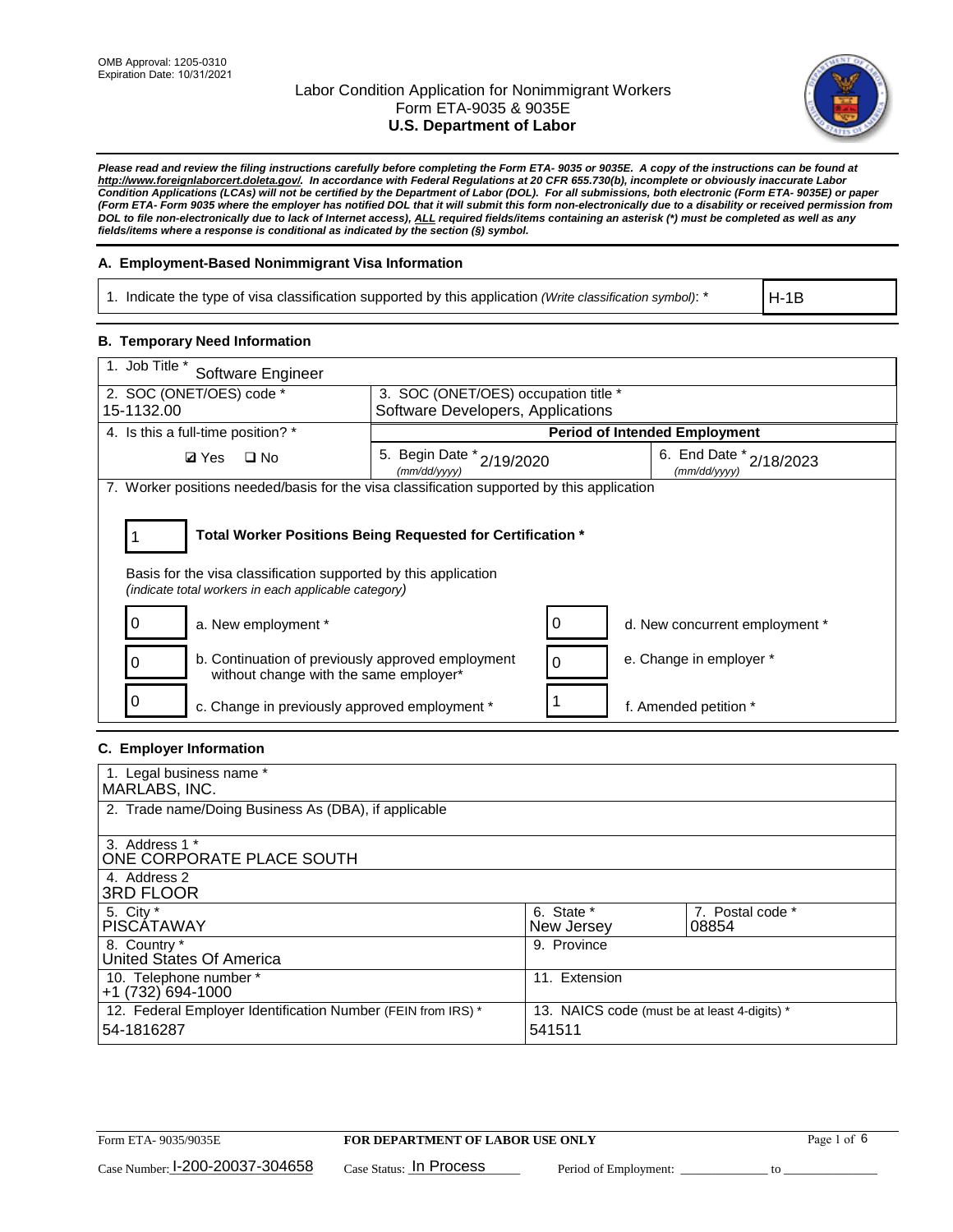

*Please read and review the filing instructions carefully before completing the Form ETA- 9035 or 9035E. A copy of the instructions can be found at [http://www.foreignlaborcert.doleta.gov/.](http://www.foreignlaborcert.doleta.gov/) In accordance with Federal Regulations at 20 CFR 655.730(b), incomplete or obviously inaccurate Labor Condition Applications (LCAs) will not be certified by the Department of Labor (DOL). For all submissions, both electronic (Form ETA- 9035E) or paper (Form ETA- Form 9035 where the employer has notified DOL that it will submit this form non-electronically due to a disability or received permission from DOL to file non-electronically due to lack of Internet access), ALL required fields/items containing an asterisk (\*) must be completed as well as any fields/items where a response is conditional as indicated by the section (§) symbol.* 

## **A. Employment-Based Nonimmigrant Visa Information**

1. Indicate the type of visa classification supported by this application *(Write classification symbol)*: \*

H-1B

# **B. Temporary Need Information**

| 1. Job Title *<br>Software Engineer                                                                                                                                                   |                                                                           |                                         |  |  |  |
|---------------------------------------------------------------------------------------------------------------------------------------------------------------------------------------|---------------------------------------------------------------------------|-----------------------------------------|--|--|--|
| 2. SOC (ONET/OES) code *<br>15-1132.00                                                                                                                                                | 3. SOC (ONET/OES) occupation title *<br>Software Developers, Applications |                                         |  |  |  |
|                                                                                                                                                                                       |                                                                           |                                         |  |  |  |
| 4. Is this a full-time position? *                                                                                                                                                    |                                                                           | <b>Period of Intended Employment</b>    |  |  |  |
| <b>Ø</b> Yes<br>$\square$ No                                                                                                                                                          | 5. Begin Date * 2/19/2020<br>(mm/dd/yyyy)                                 | 6. End Date * 2/18/2023<br>(mm/dd/yyyy) |  |  |  |
| 7. Worker positions needed/basis for the visa classification supported by this application                                                                                            |                                                                           |                                         |  |  |  |
| Total Worker Positions Being Requested for Certification *<br>Basis for the visa classification supported by this application<br>(indicate total workers in each applicable category) |                                                                           |                                         |  |  |  |
| a. New employment *                                                                                                                                                                   |                                                                           | 0<br>d. New concurrent employment *     |  |  |  |
| b. Continuation of previously approved employment<br>without change with the same employer*                                                                                           |                                                                           | e. Change in employer *<br>$\Omega$     |  |  |  |
| c. Change in previously approved employment *                                                                                                                                         |                                                                           | f. Amended petition *                   |  |  |  |

# **C. Employer Information**

| 1. Legal business name *                                     |                                              |                  |
|--------------------------------------------------------------|----------------------------------------------|------------------|
| MARLABS, INC.                                                |                                              |                  |
| 2. Trade name/Doing Business As (DBA), if applicable         |                                              |                  |
|                                                              |                                              |                  |
| 3. Address 1 *                                               |                                              |                  |
| ONE CORPORATE PLACE SOUTH                                    |                                              |                  |
| 4. Address 2                                                 |                                              |                  |
| <b>3RD FLOOR</b>                                             |                                              |                  |
| 5. City *                                                    | 6. State *                                   | 7. Postal code * |
| <b>PISCATAWAY</b>                                            | New Jersey                                   | 08854            |
| 8. Country *                                                 | 9. Province                                  |                  |
| United States Of America                                     |                                              |                  |
| 10. Telephone number *                                       | 11. Extension                                |                  |
| +1 (732) 694-1000                                            |                                              |                  |
| 12. Federal Employer Identification Number (FEIN from IRS) * | 13. NAICS code (must be at least 4-digits) * |                  |
| 54-1816287                                                   | 541511                                       |                  |
|                                                              |                                              |                  |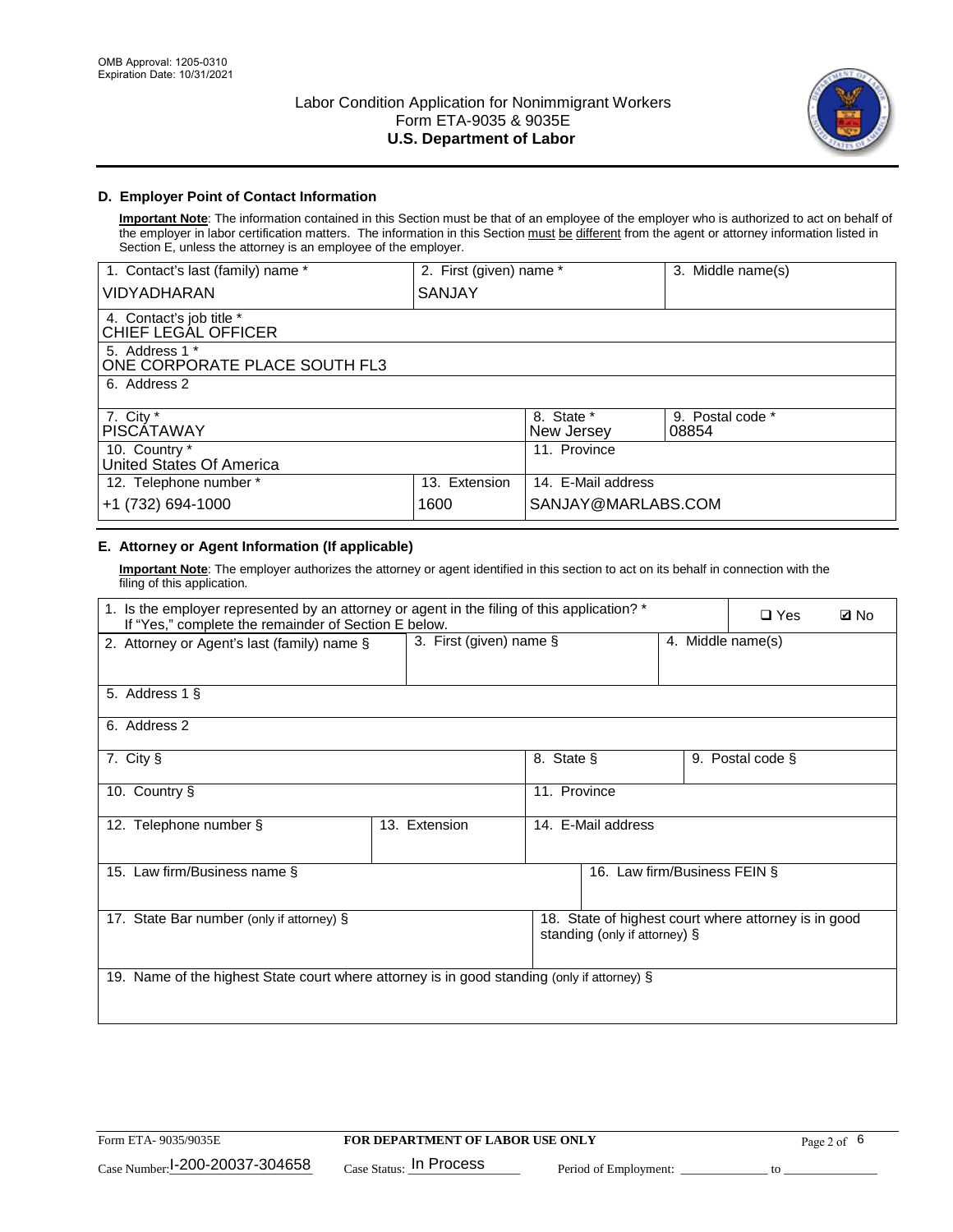

# **D. Employer Point of Contact Information**

**Important Note**: The information contained in this Section must be that of an employee of the employer who is authorized to act on behalf of the employer in labor certification matters. The information in this Section must be different from the agent or attorney information listed in Section E, unless the attorney is an employee of the employer.

| 1. Contact's last (family) name *               | 2. First (given) name * |                          | 3. Middle name(s)         |
|-------------------------------------------------|-------------------------|--------------------------|---------------------------|
| <b>VIDYADHARAN</b>                              | <b>SANJAY</b>           |                          |                           |
| 4. Contact's job title *<br>CHIEF LEGAL OFFICER |                         |                          |                           |
| 5. Address 1 *<br>ONE CORPORATE PLACE SOUTH FL3 |                         |                          |                           |
| 6. Address 2                                    |                         |                          |                           |
| 7. City $*$<br><b>PISCATAWAY</b>                |                         | 8. State *<br>New Jersey | 9. Postal code *<br>08854 |
| 10. Country *<br>United States Of America       |                         | 11. Province             |                           |
| 12. Telephone number *                          | 13. Extension           | 14. E-Mail address       |                           |
| +1 (732) 694-1000                               | 1600                    | SANJAY@MARLABS.COM       |                           |

# **E. Attorney or Agent Information (If applicable)**

**Important Note**: The employer authorizes the attorney or agent identified in this section to act on its behalf in connection with the filing of this application.

| 1. Is the employer represented by an attorney or agent in the filing of this application? *<br>If "Yes," complete the remainder of Section E below. |                            |              |                               | $\square$ Yes | <b>Z</b> No                                          |  |
|-----------------------------------------------------------------------------------------------------------------------------------------------------|----------------------------|--------------|-------------------------------|---------------|------------------------------------------------------|--|
| 2. Attorney or Agent's last (family) name §                                                                                                         | 3. First (given) name $\S$ |              |                               |               | 4. Middle name(s)                                    |  |
| 5. Address 1 §                                                                                                                                      |                            |              |                               |               |                                                      |  |
| 6. Address 2                                                                                                                                        |                            |              |                               |               |                                                      |  |
| 7. City §                                                                                                                                           |                            | 8. State §   |                               |               | 9. Postal code §                                     |  |
| 10. Country §                                                                                                                                       |                            | 11. Province |                               |               |                                                      |  |
| 12. Telephone number §                                                                                                                              | 13. Extension              |              | 14. E-Mail address            |               |                                                      |  |
| 15. Law firm/Business name §                                                                                                                        |                            |              | 16. Law firm/Business FEIN §  |               |                                                      |  |
| 17. State Bar number (only if attorney) §                                                                                                           |                            |              | standing (only if attorney) § |               | 18. State of highest court where attorney is in good |  |
| 19. Name of the highest State court where attorney is in good standing (only if attorney) §                                                         |                            |              |                               |               |                                                      |  |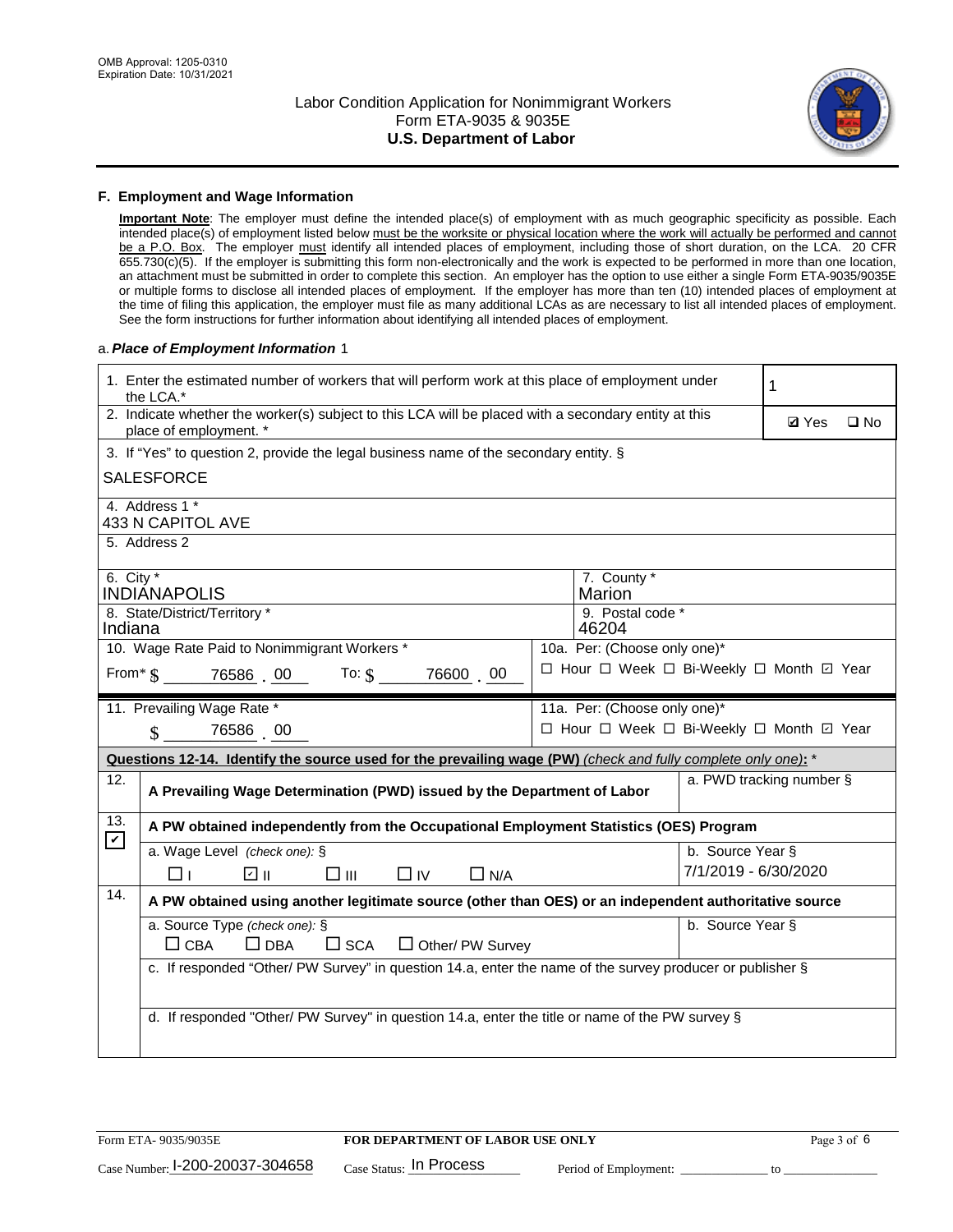

#### **F. Employment and Wage Information**

**Important Note**: The employer must define the intended place(s) of employment with as much geographic specificity as possible. Each intended place(s) of employment listed below must be the worksite or physical location where the work will actually be performed and cannot be a P.O. Box. The employer must identify all intended places of employment, including those of short duration, on the LCA. 20 CFR 655.730(c)(5). If the employer is submitting this form non-electronically and the work is expected to be performed in more than one location, an attachment must be submitted in order to complete this section. An employer has the option to use either a single Form ETA-9035/9035E or multiple forms to disclose all intended places of employment. If the employer has more than ten (10) intended places of employment at the time of filing this application, the employer must file as many additional LCAs as are necessary to list all intended places of employment. See the form instructions for further information about identifying all intended places of employment.

## a.*Place of Employment Information* 1

|                                                                              | 1. Enter the estimated number of workers that will perform work at this place of employment under<br>1<br>the LCA.*            |  |                                          |                          |  |  |  |
|------------------------------------------------------------------------------|--------------------------------------------------------------------------------------------------------------------------------|--|------------------------------------------|--------------------------|--|--|--|
|                                                                              | 2. Indicate whether the worker(s) subject to this LCA will be placed with a secondary entity at this<br>place of employment. * |  |                                          |                          |  |  |  |
|                                                                              | 3. If "Yes" to question 2, provide the legal business name of the secondary entity. §                                          |  |                                          |                          |  |  |  |
|                                                                              | <b>SALESFORCE</b>                                                                                                              |  |                                          |                          |  |  |  |
|                                                                              | 4. Address 1 *<br><b>433 N CAPITOL AVE</b>                                                                                     |  |                                          |                          |  |  |  |
|                                                                              | 5. Address 2                                                                                                                   |  |                                          |                          |  |  |  |
| 6. City $*$                                                                  | <b>INDIANAPOLIS</b>                                                                                                            |  | 7. County *<br>Marion                    |                          |  |  |  |
|                                                                              | 9. Postal code *<br>8. State/District/Territory *<br>Indiana<br>46204                                                          |  |                                          |                          |  |  |  |
| 10. Wage Rate Paid to Nonimmigrant Workers *<br>10a. Per: (Choose only one)* |                                                                                                                                |  |                                          |                          |  |  |  |
|                                                                              | □ Hour □ Week □ Bi-Weekly □ Month ☑ Year<br>From $*$ $\S$ 76586 00 To: $\S$<br>76600 00                                        |  |                                          |                          |  |  |  |
|                                                                              | 11. Prevailing Wage Rate *<br>11a. Per: (Choose only one)*                                                                     |  |                                          |                          |  |  |  |
|                                                                              | $\sin 76586$ 00                                                                                                                |  | □ Hour □ Week □ Bi-Weekly □ Month ☑ Year |                          |  |  |  |
|                                                                              | Questions 12-14. Identify the source used for the prevailing wage (PW) (check and fully complete only one): *                  |  |                                          |                          |  |  |  |
| 12.                                                                          | A Prevailing Wage Determination (PWD) issued by the Department of Labor                                                        |  |                                          | a. PWD tracking number § |  |  |  |
| 13.<br>$\mathbf v$                                                           | A PW obtained independently from the Occupational Employment Statistics (OES) Program                                          |  |                                          |                          |  |  |  |
|                                                                              | a. Wage Level (check one): §                                                                                                   |  | b. Source Year §                         |                          |  |  |  |
|                                                                              | பெ<br>□⊪<br>$\Box$ IV<br>$\Box$ N/A<br>□⊥                                                                                      |  |                                          | 7/1/2019 - 6/30/2020     |  |  |  |
| 14.                                                                          | A PW obtained using another legitimate source (other than OES) or an independent authoritative source                          |  |                                          |                          |  |  |  |
|                                                                              | a. Source Type (check one): §                                                                                                  |  | b. Source Year §                         |                          |  |  |  |
|                                                                              | $\Box$ CBA<br>$\Box$ DBA<br>$\square$ SCA<br>$\Box$ Other/ PW Survey                                                           |  |                                          |                          |  |  |  |
|                                                                              | c. If responded "Other/ PW Survey" in question 14.a, enter the name of the survey producer or publisher §                      |  |                                          |                          |  |  |  |
|                                                                              |                                                                                                                                |  |                                          |                          |  |  |  |
|                                                                              |                                                                                                                                |  |                                          |                          |  |  |  |
|                                                                              | d. If responded "Other/ PW Survey" in question 14.a, enter the title or name of the PW survey §                                |  |                                          |                          |  |  |  |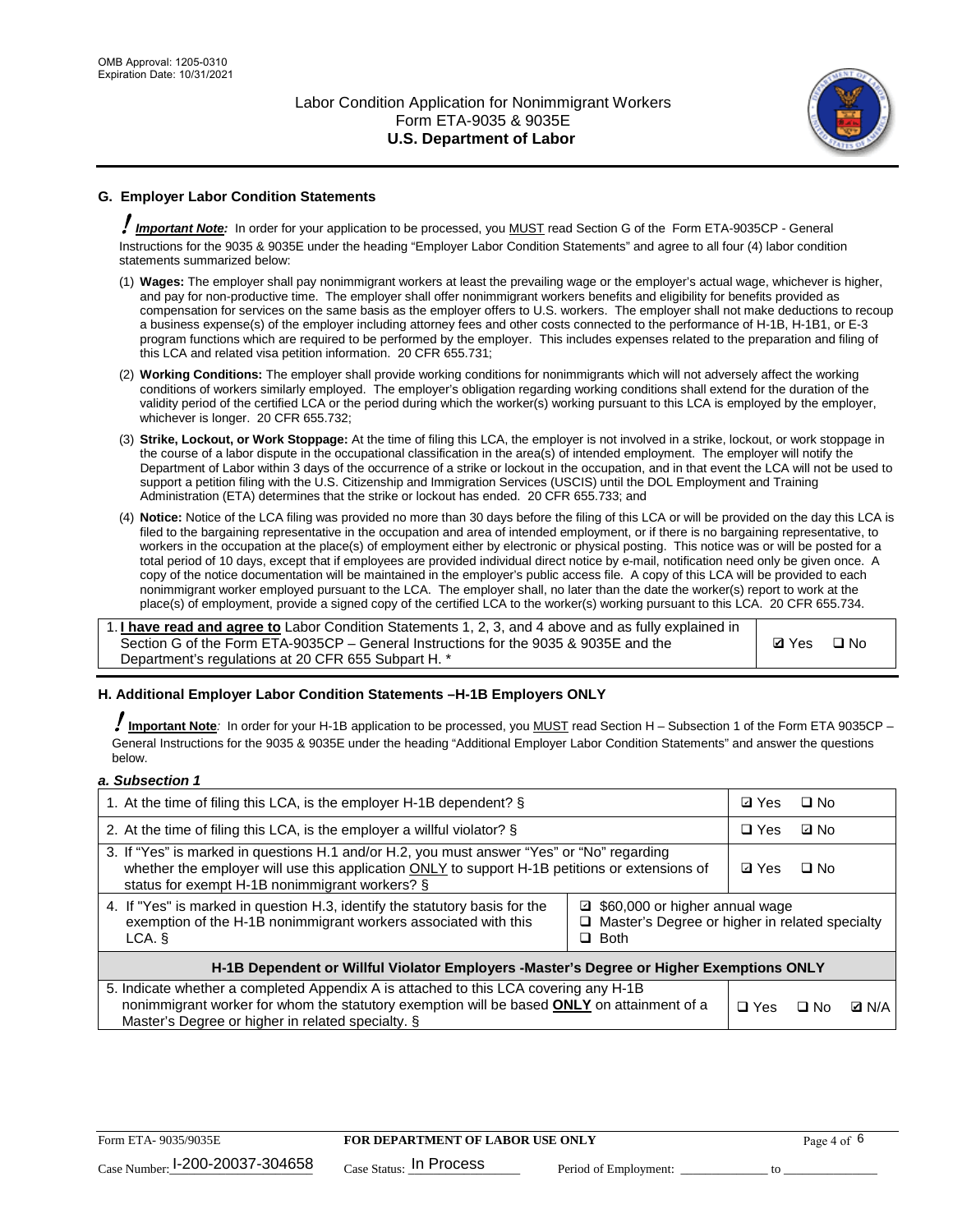

# **G. Employer Labor Condition Statements**

! *Important Note:* In order for your application to be processed, you MUST read Section G of the Form ETA-9035CP - General Instructions for the 9035 & 9035E under the heading "Employer Labor Condition Statements" and agree to all four (4) labor condition statements summarized below:

- (1) **Wages:** The employer shall pay nonimmigrant workers at least the prevailing wage or the employer's actual wage, whichever is higher, and pay for non-productive time. The employer shall offer nonimmigrant workers benefits and eligibility for benefits provided as compensation for services on the same basis as the employer offers to U.S. workers. The employer shall not make deductions to recoup a business expense(s) of the employer including attorney fees and other costs connected to the performance of H-1B, H-1B1, or E-3 program functions which are required to be performed by the employer. This includes expenses related to the preparation and filing of this LCA and related visa petition information. 20 CFR 655.731;
- (2) **Working Conditions:** The employer shall provide working conditions for nonimmigrants which will not adversely affect the working conditions of workers similarly employed. The employer's obligation regarding working conditions shall extend for the duration of the validity period of the certified LCA or the period during which the worker(s) working pursuant to this LCA is employed by the employer, whichever is longer. 20 CFR 655.732;
- (3) **Strike, Lockout, or Work Stoppage:** At the time of filing this LCA, the employer is not involved in a strike, lockout, or work stoppage in the course of a labor dispute in the occupational classification in the area(s) of intended employment. The employer will notify the Department of Labor within 3 days of the occurrence of a strike or lockout in the occupation, and in that event the LCA will not be used to support a petition filing with the U.S. Citizenship and Immigration Services (USCIS) until the DOL Employment and Training Administration (ETA) determines that the strike or lockout has ended. 20 CFR 655.733; and
- (4) **Notice:** Notice of the LCA filing was provided no more than 30 days before the filing of this LCA or will be provided on the day this LCA is filed to the bargaining representative in the occupation and area of intended employment, or if there is no bargaining representative, to workers in the occupation at the place(s) of employment either by electronic or physical posting. This notice was or will be posted for a total period of 10 days, except that if employees are provided individual direct notice by e-mail, notification need only be given once. A copy of the notice documentation will be maintained in the employer's public access file. A copy of this LCA will be provided to each nonimmigrant worker employed pursuant to the LCA. The employer shall, no later than the date the worker(s) report to work at the place(s) of employment, provide a signed copy of the certified LCA to the worker(s) working pursuant to this LCA. 20 CFR 655.734.

1. **I have read and agree to** Labor Condition Statements 1, 2, 3, and 4 above and as fully explained in Section G of the Form ETA-9035CP – General Instructions for the 9035 & 9035E and the Department's regulations at 20 CFR 655 Subpart H. \*

**Ø**Yes ロNo

## **H. Additional Employer Labor Condition Statements –H-1B Employers ONLY**

!**Important Note***:* In order for your H-1B application to be processed, you MUST read Section H – Subsection 1 of the Form ETA 9035CP – General Instructions for the 9035 & 9035E under the heading "Additional Employer Labor Condition Statements" and answer the questions below.

#### *a. Subsection 1*

| 1. At the time of filing this LCA, is the employer H-1B dependent? §                                                                                                                                                                                            |            |      | □ No         |  |  |
|-----------------------------------------------------------------------------------------------------------------------------------------------------------------------------------------------------------------------------------------------------------------|------------|------|--------------|--|--|
| 2. At the time of filing this LCA, is the employer a willful violator? $\S$                                                                                                                                                                                     |            |      | ⊡ No         |  |  |
| 3. If "Yes" is marked in questions H.1 and/or H.2, you must answer "Yes" or "No" regarding<br>whether the employer will use this application ONLY to support H-1B petitions or extensions of<br>status for exempt H-1B nonimmigrant workers? §                  |            |      | $\Box$ No    |  |  |
| 4. If "Yes" is marked in question H.3, identify the statutory basis for the<br>■ \$60,000 or higher annual wage<br>exemption of the H-1B nonimmigrant workers associated with this<br>□ Master's Degree or higher in related specialty<br>$\Box$ Both<br>LCA. § |            |      |              |  |  |
| H-1B Dependent or Willful Violator Employers -Master's Degree or Higher Exemptions ONLY                                                                                                                                                                         |            |      |              |  |  |
| 5. Indicate whether a completed Appendix A is attached to this LCA covering any H-1B<br>nonimmigrant worker for whom the statutory exemption will be based <b>ONLY</b> on attainment of a<br>Master's Degree or higher in related specialty. §                  | $\Box$ Yes | ⊡ No | <b>Q</b> N/A |  |  |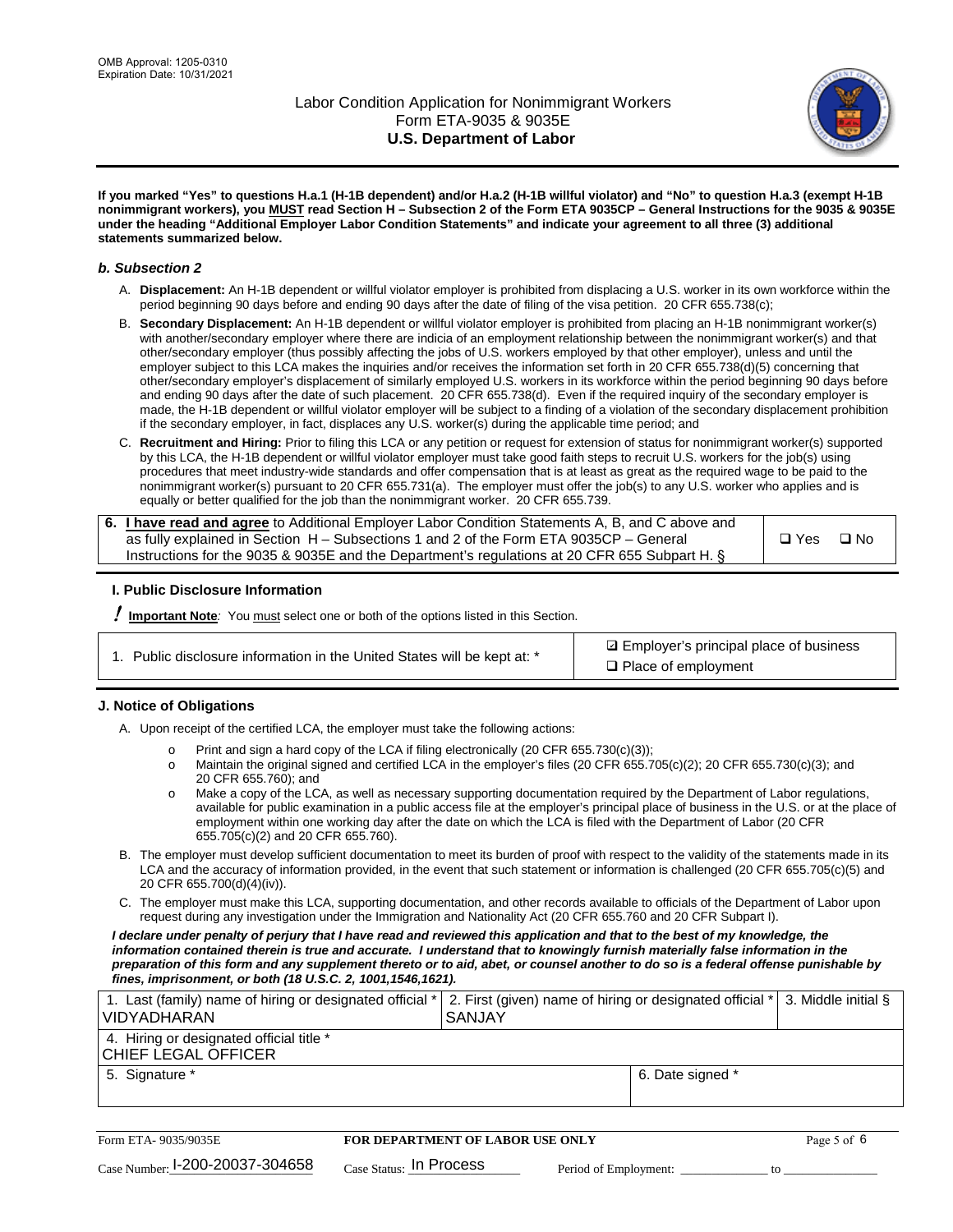

**If you marked "Yes" to questions H.a.1 (H-1B dependent) and/or H.a.2 (H-1B willful violator) and "No" to question H.a.3 (exempt H-1B nonimmigrant workers), you MUST read Section H – Subsection 2 of the Form ETA 9035CP – General Instructions for the 9035 & 9035E under the heading "Additional Employer Labor Condition Statements" and indicate your agreement to all three (3) additional statements summarized below.**

#### *b. Subsection 2*

- A. **Displacement:** An H-1B dependent or willful violator employer is prohibited from displacing a U.S. worker in its own workforce within the period beginning 90 days before and ending 90 days after the date of filing of the visa petition. 20 CFR 655.738(c);
- B. **Secondary Displacement:** An H-1B dependent or willful violator employer is prohibited from placing an H-1B nonimmigrant worker(s) with another/secondary employer where there are indicia of an employment relationship between the nonimmigrant worker(s) and that other/secondary employer (thus possibly affecting the jobs of U.S. workers employed by that other employer), unless and until the employer subject to this LCA makes the inquiries and/or receives the information set forth in 20 CFR 655.738(d)(5) concerning that other/secondary employer's displacement of similarly employed U.S. workers in its workforce within the period beginning 90 days before and ending 90 days after the date of such placement. 20 CFR 655.738(d). Even if the required inquiry of the secondary employer is made, the H-1B dependent or willful violator employer will be subject to a finding of a violation of the secondary displacement prohibition if the secondary employer, in fact, displaces any U.S. worker(s) during the applicable time period; and
- C. **Recruitment and Hiring:** Prior to filing this LCA or any petition or request for extension of status for nonimmigrant worker(s) supported by this LCA, the H-1B dependent or willful violator employer must take good faith steps to recruit U.S. workers for the job(s) using procedures that meet industry-wide standards and offer compensation that is at least as great as the required wage to be paid to the nonimmigrant worker(s) pursuant to 20 CFR 655.731(a). The employer must offer the job(s) to any U.S. worker who applies and is equally or better qualified for the job than the nonimmigrant worker. 20 CFR 655.739.

| 6. I have read and agree to Additional Employer Labor Condition Statements A, B, and C above and |       |      |
|--------------------------------------------------------------------------------------------------|-------|------|
| as fully explained in Section H – Subsections 1 and 2 of the Form ETA 9035CP – General           | □ Yes | ⊟ No |
| Instructions for the 9035 & 9035 E and the Department's regulations at 20 CFR 655 Subpart H. §   |       |      |

## **I. Public Disclosure Information**

! **Important Note***:* You must select one or both of the options listed in this Section.

| 1. Public disclosure information in the United States will be kept at: * |  |  |  |  |  |  |  |
|--------------------------------------------------------------------------|--|--|--|--|--|--|--|
|--------------------------------------------------------------------------|--|--|--|--|--|--|--|

**sqrt** Employer's principal place of business □ Place of employment

## **J. Notice of Obligations**

A. Upon receipt of the certified LCA, the employer must take the following actions:

- o Print and sign a hard copy of the LCA if filing electronically (20 CFR 655.730(c)(3));<br>
Maintain the original signed and certified LCA in the employer's files (20 CFR 655.7
- Maintain the original signed and certified LCA in the employer's files (20 CFR 655.705(c)(2); 20 CFR 655.730(c)(3); and 20 CFR 655.760); and
- o Make a copy of the LCA, as well as necessary supporting documentation required by the Department of Labor regulations, available for public examination in a public access file at the employer's principal place of business in the U.S. or at the place of employment within one working day after the date on which the LCA is filed with the Department of Labor (20 CFR 655.705(c)(2) and 20 CFR 655.760).
- B. The employer must develop sufficient documentation to meet its burden of proof with respect to the validity of the statements made in its LCA and the accuracy of information provided, in the event that such statement or information is challenged (20 CFR 655.705(c)(5) and 20 CFR 655.700(d)(4)(iv)).
- C. The employer must make this LCA, supporting documentation, and other records available to officials of the Department of Labor upon request during any investigation under the Immigration and Nationality Act (20 CFR 655.760 and 20 CFR Subpart I).

*I declare under penalty of perjury that I have read and reviewed this application and that to the best of my knowledge, the*  information contained therein is true and accurate. I understand that to knowingly furnish materially false information in the *preparation of this form and any supplement thereto or to aid, abet, or counsel another to do so is a federal offense punishable by fines, imprisonment, or both (18 U.S.C. 2, 1001,1546,1621).*

| 1. Last (family) name of hiring or designated official *  2. First (given) name of hiring or designated official *  3. Middle initial §<br><b>VIDYADHARAN</b> | <b>SANJAY</b>    |  |
|---------------------------------------------------------------------------------------------------------------------------------------------------------------|------------------|--|
| 4. Hiring or designated official title *<br>CHIEF LEGAL OFFICER                                                                                               |                  |  |
| 5. Signature *                                                                                                                                                | 6. Date signed * |  |

| Form ETA-9035/9035E                         | FOR DEPARTMENT OF LABOR USE ONLY   |                       | Page 5 of 6 |
|---------------------------------------------|------------------------------------|-----------------------|-------------|
| $_{\text{Case Number:}}$ I-200-20037-304658 | $_{\rm Case~S status:}$ In Process | Period of Employment: |             |